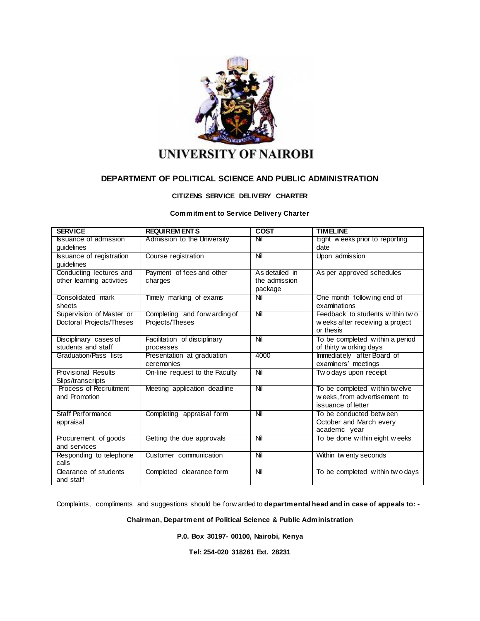

# **UNIVERSITY OF NAIROBI**

# **DEPARTMENT OF POLITICAL SCIENCE AND PUBLIC ADMINISTRATION**

### **CITIZENS SERVICE DELIVERY CHARTER**

#### **Commitment to Service Delivery Charter**

| <b>SERVICE</b>                  | <b>REQUIREM ENTS</b>           | <b>COST</b>    | <b>TIMELINE</b>                  |
|---------------------------------|--------------------------------|----------------|----------------------------------|
| <b>Issuance of admission</b>    | Admission to the University    | Nil            | Eight weeks prior to reporting   |
| guidelines                      |                                |                | date                             |
| <b>Issuance of registration</b> | Course registration            | Nil            | Upon admission                   |
| guidelines                      |                                |                |                                  |
| Conducting lectures and         | Payment of fees and other      | As detailed in | As per approved schedules        |
| other learning activities       | charges                        | the admission  |                                  |
|                                 |                                | package        |                                  |
| Consolidated mark               | Timely marking of exams        | Nil            | One month following end of       |
| sheets                          |                                |                | examinations                     |
| Supervision of Master or        | Completing and forw arding of  | Nil            | Feedback to students within two  |
| Doctoral Projects/Theses        | Projects/Theses                |                | w eeks after receiving a project |
|                                 |                                |                | or thesis                        |
| Disciplinary cases of           | Facilitation of disciplinary   | Nil            | To be completed within a period  |
| students and staff              | processes                      |                | of thirty w orking days          |
| Graduation/Pass lists           | Presentation at graduation     | 4000           | Immediately after Board of       |
|                                 | ceremonies                     |                | examiners' meetings              |
| <b>Provisional Results</b>      | On-line request to the Faculty | Nil            | Two days upon receipt            |
| Slips/transcripts               |                                |                |                                  |
| Process of Recruitment          | Meeting application deadline   | Nil            | To be completed within twelve    |
| and Promotion                   |                                |                | weeks, from advertisement to     |
|                                 |                                |                | issuance of letter               |
| Staff Performance               | Completing appraisal form      | Nil            | To be conducted between          |
| appraisal                       |                                |                | October and March every          |
|                                 |                                |                | academic year                    |
| Procurement of goods            | Getting the due approvals      | Nil            | To be done within eight weeks    |
| and services                    |                                |                |                                  |
| Responding to telephone         | Customer communication         | Nil            | Within tw enty seconds           |
| calls                           |                                |                |                                  |
| Clearance of students           | Completed clearance form       | Nil            | To be completed within two days  |
| and staff                       |                                |                |                                  |

Complaints, compliments and suggestions should be forw arded to **departmental head and in case of appeals to: -**

**Chairman, Department of Political Science & Public Administration**

**P.0. Box 30197- 00100, Nairobi, Kenya**

**Tel: 254-020 318261 Ext. 28231**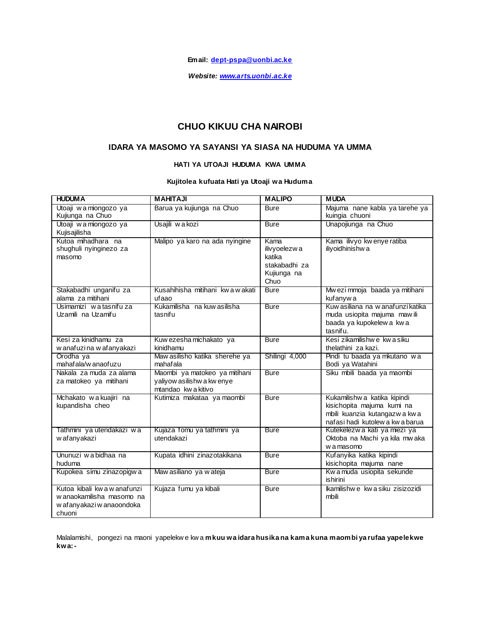**Email: [dept-pspa@uonbi.ac.ke](mailto:dept-pspa@uonbi.ac.ke)**

*Website: [www.arts.uonbi.ac.ke](http://www.arts.uonbi.ac.ke/)*

# **CHUO KIKUU CHA NAIROBI**

## **IDARA YA MASOMO YA SAYANSI YA SIASA NA HUDUMA YA UMMA**

### **HATI YA UTOAJI HUDUMA KWA UMMA**

### **Kujitolea kufuata Hati ya Utoaji wa Huduma**

| <b>HUDUMA</b>                                                                                   | <b>MAHITAJI</b>                                                                    | <b>MALIPO</b>                                                          | <b>MUDA</b>                                                                                                                 |
|-------------------------------------------------------------------------------------------------|------------------------------------------------------------------------------------|------------------------------------------------------------------------|-----------------------------------------------------------------------------------------------------------------------------|
| Utoaji w a miongozo ya<br>Kujiunga na Chuo                                                      | Barua ya kujiunga na Chuo                                                          | <b>Bure</b>                                                            | Majuma nane kabla ya tarehe ya<br>kuingia chuoni                                                                            |
| Utoaji w a miongozo ya<br>Kujisajilisha                                                         | Usajili wakozi                                                                     | <b>Bure</b>                                                            | Unapojiunga na Chuo                                                                                                         |
| Kutoa mihadhara na<br>shughuli nyinginezo za<br>masomo                                          | Malipo ya karo na ada nyingine                                                     | Kama<br>ilivyoelezwa<br>katika<br>stakabadhi za<br>Kujiunga na<br>Chuo | Kama ilivyo kw enye ratiba<br>iliyoidhinishwa                                                                               |
| Stakabadhi unganifu za<br>alama za mitihani                                                     | Kusahihisha mitihani kwa wakati<br>ufaao                                           | <b>Bure</b>                                                            | Mw ezi mmoja baada ya mitihani<br>kufanyw a                                                                                 |
| Usimamizi watasnifu za<br>Uzamili na Uzamifu                                                    | Kukamilisha na kuw asilisha<br>tasnifu                                             | <b>Bure</b>                                                            | Kuw asiliana na w anafunzi katika<br>muda usiopita majuma mawili<br>baada ya kupokelew a kw a<br>tasnifu.                   |
| Kesi za kinidhamu za<br>w anafuzina w afanyakazi                                                | Kuw ezesha michakato ya<br>kinidhamu                                               | <b>Bure</b>                                                            | Kesi zikamilishwe kwasiku<br>thelathini za kazi.                                                                            |
| Orodha ya<br>mahafala/w anaofuzu                                                                | Maw asilisho katika sherehe ya<br>mahafala                                         | Shilingi 4,000                                                         | Pindi tu baada ya mkutano wa<br>Bodi ya Watahini                                                                            |
| Nakala za muda za alama<br>za matokeo ya mitihani                                               | Maombi ya matokeo ya mitihani<br>yaliyow asilishw a kw enye<br>mtandao kw a kitivo | <b>Bure</b>                                                            | Siku mbili baada ya maombi                                                                                                  |
| Mchakato wa kuajiri na<br>kupandisha cheo                                                       | Kutimiza makataa ya maombi                                                         | <b>Bure</b>                                                            | Kukamilishwa katika kipindi<br>kisichopita majuma kumi na<br>mbili kuanzia kutangazwa kwa<br>nafasi hadi kutolew a kwabarua |
| Tathmini ya utendakazi wa<br>w afanyakazi                                                       | Kujaza fomu ya tathmini ya<br>utendakazi                                           | <b>Bure</b>                                                            | Kutekelezwa kati ya miezi ya<br>Oktoba na Machi ya kila mwaka<br>w a masomo                                                 |
| Ununuzi w a bidhaa na<br>huduma                                                                 | Kupata idhini zinazotakikana                                                       | <b>Bure</b>                                                            | Kufanyika katika kipindi<br>kisichopita majuma nane                                                                         |
| Kupokea simu zinazopigwa                                                                        | Maw asiliano ya w ateja                                                            | <b>Bure</b>                                                            | Kw a muda usiopita sekunde<br><i>ishirini</i>                                                                               |
| Kutoa kibali kwa w anafunzi<br>w anaokamilisha masomo na<br>w afanyakazi w anaoondoka<br>chuoni | Kujaza fumu ya kibali                                                              | <b>Bure</b>                                                            | Ikamilishwe kwasiku zisizozidi<br>mbili                                                                                     |

Malalamishi, pongezi na maoni yapelekw e kw a **mkuu wa idara husika na kama kuna maombi ya rufaa yapelekwe kwa:-**